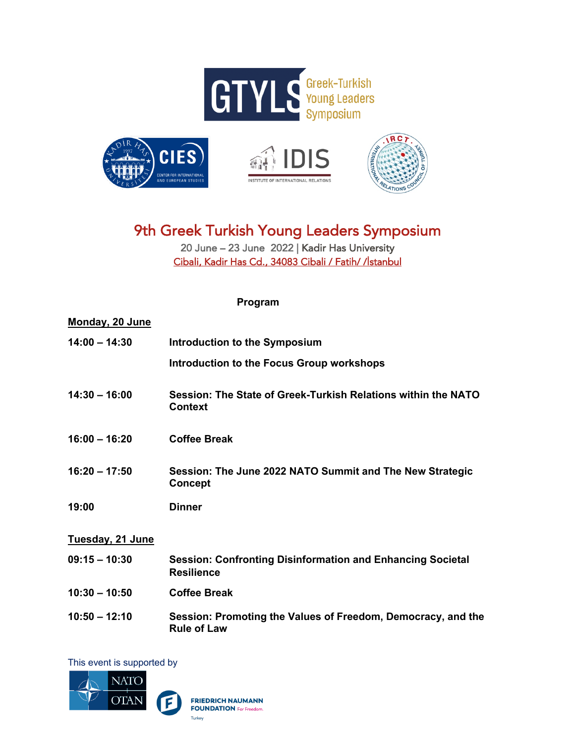







## 9th Greek Turkish Young Leaders Symposium

20 June – 23 June 2022 | Kadir Has University Cibali, Kadir Has Cd., 34083 Cibali / Fatih/ /İstanbul

**Program**

| <b>Monday, 20 June</b> |                                                                                        |
|------------------------|----------------------------------------------------------------------------------------|
| $14:00 - 14:30$        | Introduction to the Symposium                                                          |
|                        | <b>Introduction to the Focus Group workshops</b>                                       |
| $14:30 - 16:00$        | Session: The State of Greek-Turkish Relations within the NATO<br><b>Context</b>        |
| $16:00 - 16:20$        | <b>Coffee Break</b>                                                                    |
| $16:20 - 17:50$        | Session: The June 2022 NATO Summit and The New Strategic<br><b>Concept</b>             |
| 19:00                  | <b>Dinner</b>                                                                          |
| Tuesday, 21 June       |                                                                                        |
| $09:15 - 10:30$        | <b>Session: Confronting Disinformation and Enhancing Societal</b><br><b>Resilience</b> |
| $10:30 - 10:50$        | <b>Coffee Break</b>                                                                    |
| $10:50 - 12:10$        | Session: Promoting the Values of Freedom, Democracy, and the<br><b>Rule of Law</b>     |

This event is supported by